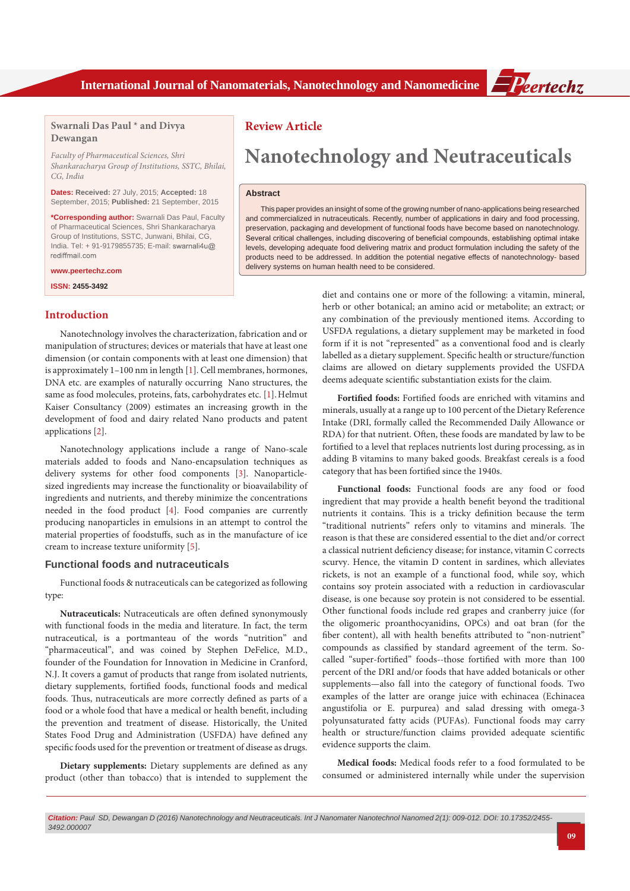

# **Swarnali Das Paul \* and Divya Dewangan**

*Faculty of Pharmaceutical Sciences, Shri Shankaracharya Group of Institutions, SSTC, Bhilai, CG, India*

**Dates: Received:** 27 July, 2015; **Accepted:** 18 September, 2015; **Published:** 21 September, 2015

**\*Corresponding author:** Swarnali Das Paul, Faculty of Pharmaceutical Sciences, Shri Shankaracharya Group of Institutions, SSTC, Junwani, Bhilai, CG, India. Tel: + 91-9179855735; E-mail:

**www.peertechz.com**

**ISSN: 2455-3492**

## **Introduction**

Nanotechnology involves the characterization, fabrication and or manipulation of structures; devices or materials that have at least one dimension (or contain components with at least one dimension) that is approximately 1–100 nm in length [\[1\]](#page-3-0). Cell membranes, hormones, DNA etc. are examples of naturally occurring Nano structures, the same as food molecules, proteins, fats, carbohydrates etc. [\[1](#page-3-0)]. Helmut Kaiser Consultancy (2009) estimates an increasing growth in the development of food and dairy related Nano products and patent applications [\[2\]](#page-3-1).

Nanotechnology applications include a range of Nano-scale materials added to foods and Nano-encapsulation techniques as delivery systems for other food components [\[3\]](#page-3-2). Nanoparticlesized ingredients may increase the functionality or bioavailability of ingredients and nutrients, and thereby minimize the concentrations needed in the food product [[4](#page-3-3)]. Food companies are currently producing nanoparticles in emulsions in an attempt to control the material properties of foodstuffs, such as in the manufacture of ice cream to increase texture uniformity [[5](#page-3-4)].

## **Functional foods and nutraceuticals**

Functional foods & nutraceuticals can be categorized as following type:

**Nutraceuticals:** Nutraceuticals are often defined synonymously with functional foods in the media and literature. In fact, the term nutraceutical, is a portmanteau of the words "nutrition" and "pharmaceutical", and was coined by Stephen DeFelice, M.D., founder of the Foundation for Innovation in Medicine in Cranford, N.J. It covers a gamut of products that range from isolated nutrients, dietary supplements, fortified foods, functional foods and medical foods. Thus, nutraceuticals are more correctly defined as parts of a food or a whole food that have a medical or health benefit, including the prevention and treatment of disease. Historically, the United States Food Drug and Administration (USFDA) have defined any specific foods used for the prevention or treatment of disease as drugs.

**Dietary supplements:** Dietary supplements are defined as any product (other than tobacco) that is intended to supplement the

# **Review Article**

# **Nanotechnology and Neutraceuticals**

## **Abstract**

This paper provides an insight of some of the growing number of nano-applications being researched and commercialized in nutraceuticals. Recently, number of applications in dairy and food processing, preservation, packaging and development of functional foods have become based on nanotechnology. Several critical challenges, including discovering of beneficial compounds, establishing optimal intake levels, developing adequate food delivering matrix and product formulation including the safety of the products need to be addressed. In addition the potential negative effects of nanotechnology- based delivery systems on human health need to be considered.

> diet and contains one or more of the following: a vitamin, mineral, herb or other botanical; an amino acid or metabolite; an extract; or any combination of the previously mentioned items. According to USFDA regulations, a dietary supplement may be marketed in food form if it is not "represented" as a conventional food and is clearly labelled as a dietary supplement. Specific health or structure/function claims are allowed on dietary supplements provided the USFDA deems adequate scientific substantiation exists for the claim.

> **Fortified foods:** Fortified foods are enriched with vitamins and minerals, usually at a range up to 100 percent of the Dietary Reference Intake (DRI, formally called the Recommended Daily Allowance or RDA) for that nutrient. Often, these foods are mandated by law to be fortified to a level that replaces nutrients lost during processing, as in adding B vitamins to many baked goods. Breakfast cereals is a food category that has been fortified since the 1940s.

> **Functional foods:** Functional foods are any food or food ingredient that may provide a health benefit beyond the traditional nutrients it contains. This is a tricky definition because the term "traditional nutrients" refers only to vitamins and minerals. The reason is that these are considered essential to the diet and/or correct a classical nutrient deficiency disease; for instance, vitamin C corrects scurvy. Hence, the vitamin D content in sardines, which alleviates rickets, is not an example of a functional food, while soy, which contains soy protein associated with a reduction in cardiovascular disease, is one because soy protein is not considered to be essential. Other functional foods include red grapes and cranberry juice (for the oligomeric proanthocyanidins, OPCs) and oat bran (for the fiber content), all with health benefits attributed to "non-nutrient" compounds as classified by standard agreement of the term. Socalled "super-fortified" foods--those fortified with more than 100 percent of the DRI and/or foods that have added botanicals or other supplements—also fall into the category of functional foods. Two examples of the latter are orange juice with echinacea (Echinacea angustifolia or E. purpurea) and salad dressing with omega-3 polyunsaturated fatty acids (PUFAs). Functional foods may carry health or structure/function claims provided adequate scientific evidence supports the claim.

> **Medical foods:** Medical foods refer to a food formulated to be consumed or administered internally while under the supervision

*Citation: Paul SD, Dewangan D (2016) Nanotechnology and Neutraceuticals. Int J Nanomater Nanotechnol Nanomed 2(1): 009-012. DOI: [10.17352/2455-](http://dx.doi.org/10.17352/2455-3492.000007) [3492.000007](http://dx.doi.org/10.17352/2455-3492.000007)*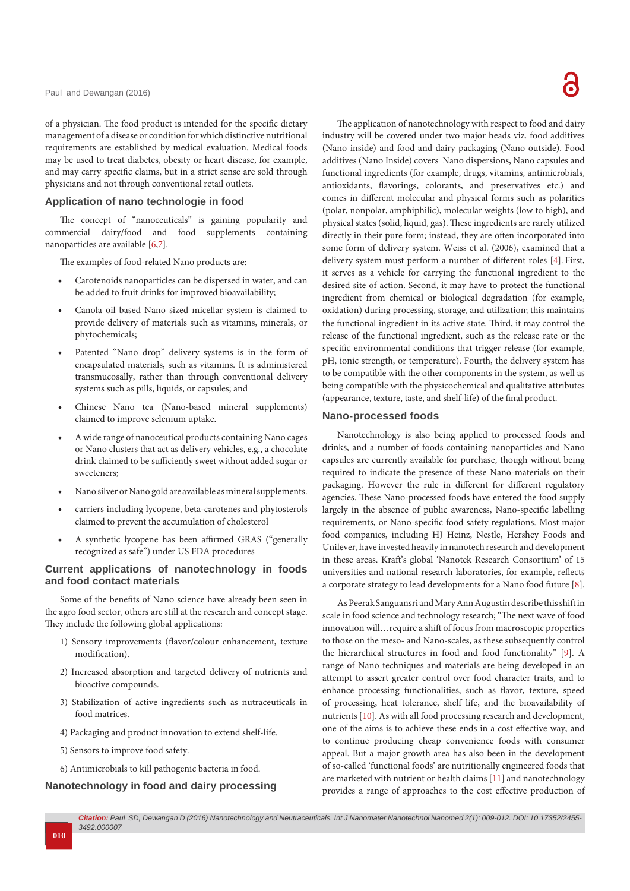of a physician. The food product is intended for the specific dietary management of a disease or condition for which distinctive nutritional requirements are established by medical evaluation. Medical foods may be used to treat diabetes, obesity or heart disease, for example, and may carry specific claims, but in a strict sense are sold through physicians and not through conventional retail outlets.

## **Application of nano technologie in food**

The concept of "nanoceuticals" is gaining popularity and commercial dairy/food and food supplements containing nanoparticles are available [\[6](#page-3-5)[,7\]](#page-3-6).

The examples of food-related Nano products are:

- Carotenoids nanoparticles can be dispersed in water, and can be added to fruit drinks for improved bioavailability;
- Canola oil based Nano sized micellar system is claimed to provide delivery of materials such as vitamins, minerals, or phytochemicals;
- Patented "Nano drop" delivery systems is in the form of encapsulated materials, such as vitamins. It is administered transmucosally, rather than through conventional delivery systems such as pills, liquids, or capsules; and
- Chinese Nano tea (Nano-based mineral supplements) claimed to improve selenium uptake.
- A wide range of nanoceutical products containing Nano cages or Nano clusters that act as delivery vehicles, e.g., a chocolate drink claimed to be sufficiently sweet without added sugar or sweeteners;
- Nano silver or Nano gold are available as mineral supplements.
- carriers including lycopene, beta-carotenes and phytosterols claimed to prevent the accumulation of cholesterol
- A synthetic lycopene has been affirmed GRAS ("generally recognized as safe") under US FDA procedures

## **Current applications of nanotechnology in foods and food contact materials**

Some of the benefits of Nano science have already been seen in the agro food sector, others are still at the research and concept stage. They include the following global applications:

- 1) Sensory improvements (flavor/colour enhancement, texture modification).
- 2) Increased absorption and targeted delivery of nutrients and bioactive compounds.
- 3) Stabilization of active ingredients such as nutraceuticals in food matrices.
- 4) Packaging and product innovation to extend shelf-life.
- 5) Sensors to improve food safety.
- 6) Antimicrobials to kill pathogenic bacteria in food.

# **Nanotechnology in food and dairy processing**

The application of nanotechnology with respect to food and dairy industry will be covered under two major heads viz. food additives (Nano inside) and food and dairy packaging (Nano outside). Food additives (Nano Inside) covers Nano dispersions, Nano capsules and functional ingredients (for example, drugs, vitamins, antimicrobials, antioxidants, flavorings, colorants, and preservatives etc.) and comes in different molecular and physical forms such as polarities (polar, nonpolar, amphiphilic), molecular weights (low to high), and physical states (solid, liquid, gas). These ingredients are rarely utilized directly in their pure form; instead, they are often incorporated into some form of delivery system. Weiss et al. (2006), examined that a delivery system must perform a number of different roles [\[4](#page-3-3)]. First, it serves as a vehicle for carrying the functional ingredient to the desired site of action. Second, it may have to protect the functional ingredient from chemical or biological degradation (for example, oxidation) during processing, storage, and utilization; this maintains the functional ingredient in its active state. Third, it may control the release of the functional ingredient, such as the release rate or the specific environmental conditions that trigger release (for example, pH, ionic strength, or temperature). Fourth, the delivery system has to be compatible with the other components in the system, as well as being compatible with the physicochemical and qualitative attributes (appearance, texture, taste, and shelf-life) of the final product.

#### **Nano-processed foods**

Nanotechnology is also being applied to processed foods and drinks, and a number of foods containing nanoparticles and Nano capsules are currently available for purchase, though without being required to indicate the presence of these Nano-materials on their packaging. However the rule in different for different regulatory agencies. These Nano-processed foods have entered the food supply largely in the absence of public awareness, Nano-specific labelling requirements, or Nano-specific food safety regulations. Most major food companies, including HJ Heinz, Nestle, Hershey Foods and Unilever, have invested heavily in nanotech research and development in these areas. Kraft's global 'Nanotek Research Consortium' of 15 universities and national research laboratories, for example, reflects a corporate strategy to lead developments for a Nano food future [\[8\]](#page-3-7).

As Peerak Sanguansri and Mary Ann Augustin describe this shift in scale in food science and technology research; "The next wave of food innovation will…require a shift of focus from macroscopic properties to those on the meso- and Nano-scales, as these subsequently control the hierarchical structures in food and food functionality" [\[9](#page-3-8)]. A range of Nano techniques and materials are being developed in an attempt to assert greater control over food character traits, and to enhance processing functionalities, such as flavor, texture, speed of processing, heat tolerance, shelf life, and the bioavailability of nutrients [[10](#page-3-9)]. As with all food processing research and development, one of the aims is to achieve these ends in a cost effective way, and to continue producing cheap convenience foods with consumer appeal. But a major growth area has also been in the development of so-called 'functional foods' are nutritionally engineered foods that are marketed with nutrient or health claims [\[11](#page-3-10)] and nanotechnology provides a range of approaches to the cost effective production of

## **010**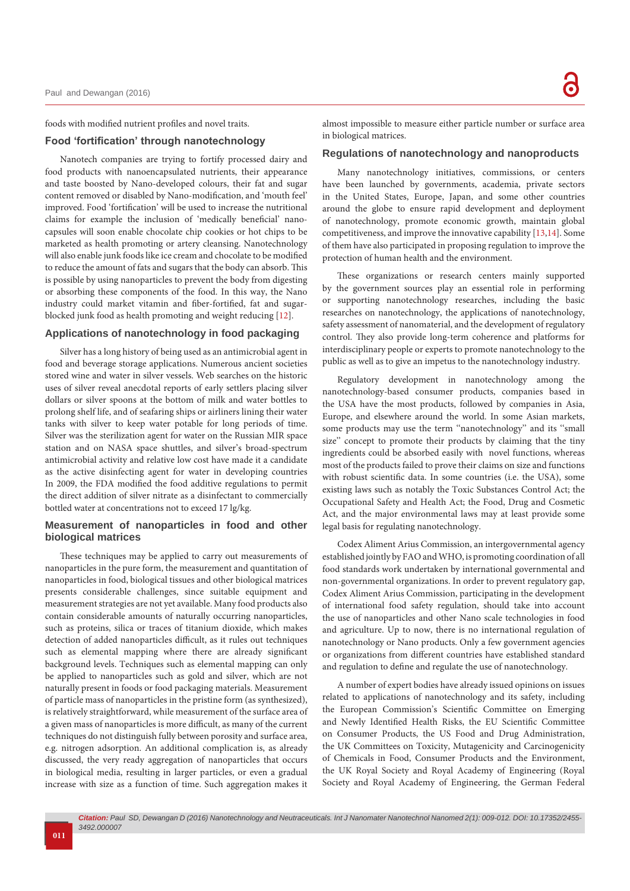#### foods with modified nutrient profiles and novel traits.

# **Food 'fortification' through nanotechnology**

Nanotech companies are trying to fortify processed dairy and food products with nanoencapsulated nutrients, their appearance and taste boosted by Nano-developed colours, their fat and sugar content removed or disabled by Nano-modification, and 'mouth feel' improved. Food 'fortification' will be used to increase the nutritional claims for example the inclusion of 'medically beneficial' nanocapsules will soon enable chocolate chip cookies or hot chips to be marketed as health promoting or artery cleansing. Nanotechnology will also enable junk foods like ice cream and chocolate to be modified to reduce the amount of fats and sugars that the body can absorb. This is possible by using nanoparticles to prevent the body from digesting or absorbing these components of the food. In this way, the Nano industry could market vitamin and fiber-fortified, fat and sugarblocked junk food as health promoting and weight reducing [[12](#page-3-11)].

#### **Applications of nanotechnology in food packaging**

Silver has a long history of being used as an antimicrobial agent in food and beverage storage applications. Numerous ancient societies stored wine and water in silver vessels. Web searches on the historic uses of silver reveal anecdotal reports of early settlers placing silver dollars or silver spoons at the bottom of milk and water bottles to prolong shelf life, and of seafaring ships or airliners lining their water tanks with silver to keep water potable for long periods of time. Silver was the sterilization agent for water on the Russian MIR space station and on NASA space shuttles, and silver's broad-spectrum antimicrobial activity and relative low cost have made it a candidate as the active disinfecting agent for water in developing countries In 2009, the FDA modified the food additive regulations to permit the direct addition of silver nitrate as a disinfectant to commercially bottled water at concentrations not to exceed 17 lg/kg.

## **Measurement of nanoparticles in food and other biological matrices**

These techniques may be applied to carry out measurements of nanoparticles in the pure form, the measurement and quantitation of nanoparticles in food, biological tissues and other biological matrices presents considerable challenges, since suitable equipment and measurement strategies are not yet available. Many food products also contain considerable amounts of naturally occurring nanoparticles, such as proteins, silica or traces of titanium dioxide, which makes detection of added nanoparticles difficult, as it rules out techniques such as elemental mapping where there are already significant background levels. Techniques such as elemental mapping can only be applied to nanoparticles such as gold and silver, which are not naturally present in foods or food packaging materials. Measurement of particle mass of nanoparticles in the pristine form (as synthesized), is relatively straightforward, while measurement of the surface area of a given mass of nanoparticles is more difficult, as many of the current techniques do not distinguish fully between porosity and surface area, e.g. nitrogen adsorption. An additional complication is, as already discussed, the very ready aggregation of nanoparticles that occurs in biological media, resulting in larger particles, or even a gradual increase with size as a function of time. Such aggregation makes it

almost impossible to measure either particle number or surface area in biological matrices.

#### **Regulations of nanotechnology and nanoproducts**

Many nanotechnology initiatives, commissions, or centers have been launched by governments, academia, private sectors in the United States, Europe, Japan, and some other countries around the globe to ensure rapid development and deployment of nanotechnology, promote economic growth, maintain global competitiveness, and improve the innovative capability [[13](#page-3-12)[,14\]](#page-3-13). Some of them have also participated in proposing regulation to improve the protection of human health and the environment.

These organizations or research centers mainly supported by the government sources play an essential role in performing or supporting nanotechnology researches, including the basic researches on nanotechnology, the applications of nanotechnology, safety assessment of nanomaterial, and the development of regulatory control. They also provide long-term coherence and platforms for interdisciplinary people or experts to promote nanotechnology to the public as well as to give an impetus to the nanotechnology industry.

Regulatory development in nanotechnology among the nanotechnology-based consumer products, companies based in the USA have the most products, followed by companies in Asia, Europe, and elsewhere around the world. In some Asian markets, some products may use the term ''nanotechnology'' and its ''small size'' concept to promote their products by claiming that the tiny ingredients could be absorbed easily with novel functions, whereas most of the products failed to prove their claims on size and functions with robust scientific data. In some countries (i.e. the USA), some existing laws such as notably the Toxic Substances Control Act; the Occupational Safety and Health Act; the Food, Drug and Cosmetic Act, and the major environmental laws may at least provide some legal basis for regulating nanotechnology.

Codex Aliment Arius Commission, an intergovernmental agency established jointly by FAO and WHO, is promoting coordination of all food standards work undertaken by international governmental and non-governmental organizations. In order to prevent regulatory gap, Codex Aliment Arius Commission, participating in the development of international food safety regulation, should take into account the use of nanoparticles and other Nano scale technologies in food and agriculture. Up to now, there is no international regulation of nanotechnology or Nano products. Only a few government agencies or organizations from different countries have established standard and regulation to define and regulate the use of nanotechnology.

A number of expert bodies have already issued opinions on issues related to applications of nanotechnology and its safety, including the European Commission's Scientific Committee on Emerging and Newly Identified Health Risks, the EU Scientific Committee on Consumer Products, the US Food and Drug Administration, the UK Committees on Toxicity, Mutagenicity and Carcinogenicity of Chemicals in Food, Consumer Products and the Environment, the UK Royal Society and Royal Academy of Engineering (Royal Society and Royal Academy of Engineering, the German Federal